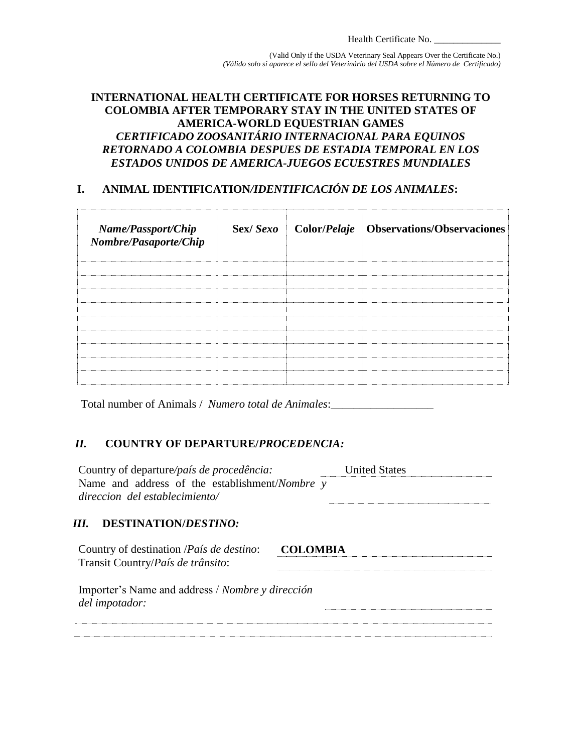(Valid Only if the USDA Veterinary Seal Appears Over the Certificate No.) *(Válido solo si aparece el sello del Veterinário del USDA sobre el Número de Certificado)*

## **INTERNATIONAL HEALTH CERTIFICATE FOR HORSES RETURNING TO COLOMBIA AFTER TEMPORARY STAY IN THE UNITED STATES OF AMERICA-WORLD EQUESTRIAN GAMES** *CERTIFICADO ZOOSANITÁRIO INTERNACIONAL PARA EQUINOS RETORNADO A COLOMBIA DESPUES DE ESTADIA TEMPORAL EN LOS ESTADOS UNIDOS DE AMERICA-JUEGOS ECUESTRES MUNDIALES*

# **I. ANIMAL IDENTIFICATION***/IDENTIFICACIÓN DE LOS ANIMALES***:**

| Name/Passport/Chip<br>Nombre/Pasaporte/Chip |  | Sex/Sexo   Color/Pelaje   Observations/Observaciones |
|---------------------------------------------|--|------------------------------------------------------|
|                                             |  |                                                      |
|                                             |  |                                                      |
|                                             |  |                                                      |
|                                             |  |                                                      |
|                                             |  |                                                      |
|                                             |  |                                                      |
|                                             |  |                                                      |
|                                             |  |                                                      |
|                                             |  |                                                      |

Total number of Animals / *Numero total de Animales*:\_\_\_\_\_\_\_\_\_\_\_\_\_\_\_\_\_\_

#### *II.* **COUNTRY OF DEPARTURE/***PROCEDENCIA:*

| Country of departure/país de procedência:<br>Name and address of the establishment/Nombre y<br>direccion del establecimiento/ | <b>United States</b> |  |  |  |  |  |  |
|-------------------------------------------------------------------------------------------------------------------------------|----------------------|--|--|--|--|--|--|
| III. DESTINATION/DESTINO:                                                                                                     |                      |  |  |  |  |  |  |
| Country of destination / <i>País de destino</i> :<br>Transit Country/ <i>País de trânsito</i> :                               | <b>COLOMBIA</b>      |  |  |  |  |  |  |
| Importer's Name and address / Nombre y dirección<br>del <i>impotador</i> :                                                    |                      |  |  |  |  |  |  |
|                                                                                                                               |                      |  |  |  |  |  |  |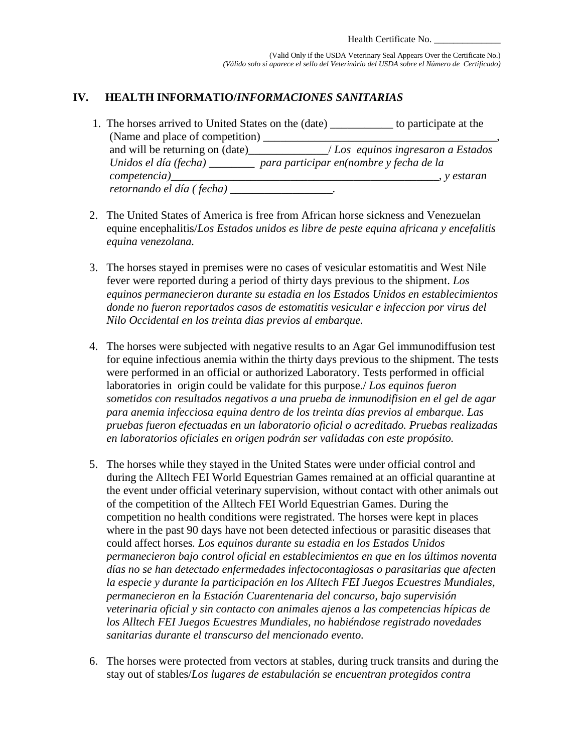## **IV. HEALTH INFORMATIO/***INFORMACIONES SANITARIAS*

| 1. The horses arrived to United States on the (date)<br>to participate at the |
|-------------------------------------------------------------------------------|
| (Name and place of competition)                                               |
| $\angle$ Los equinos ingresaron a Estados                                     |
| Unidos el día (fecha) ________ para participar en(nombre y fecha de la        |
| competencia)<br>y estaran                                                     |
| retornando el día (fecha) _                                                   |

- 2. The United States of America is free from African horse sickness and Venezuelan equine encephalitis/*Los Estados unidos es libre de peste equina africana y encefalitis equina venezolana.*
- 3. The horses stayed in premises were no cases of vesicular estomatitis and West Nile fever were reported during a period of thirty days previous to the shipment. *Los equinos permanecieron durante su estadia en los Estados Unidos en establecimientos donde no fueron reportados casos de estomatitis vesicular e infeccion por virus del Nilo Occidental en los treinta dias previos al embarque.*
- 4. The horses were subjected with negative results to an Agar Gel immunodiffusion test for equine infectious anemia within the thirty days previous to the shipment. The tests were performed in an official or authorized Laboratory. Tests performed in official laboratories in origin could be validate for this purpose./ *Los equinos fueron sometidos con resultados negativos a una prueba de inmunodifision en el gel de agar para anemia infecciosa equina dentro de los treinta días previos al embarque. Las pruebas fueron efectuadas en un laboratorio oficial o acreditado. Pruebas realizadas en laboratorios oficiales en origen podrán ser validadas con este propósito.*
- 5. The horses while they stayed in the United States were under official control and during the Alltech FEI World Equestrian Games remained at an official quarantine at the event under official veterinary supervision, without contact with other animals out of the competition of the Alltech FEI World Equestrian Games. During the competition no health conditions were registrated. The horses were kept in places where in the past 90 days have not been detected infectious or parasitic diseases that could affect horses*. Los equinos durante su estadia en los Estados Unidos permanecieron bajo control oficial en establecimientos en que en los últimos noventa días no se han detectado enfermedades infectocontagiosas o parasitarias que afecten la especie y durante la participación en los Alltech FEI Juegos Ecuestres Mundiales, permanecieron en la Estación Cuarentenaria del concurso, bajo supervisión veterinaria oficial y sin contacto con animales ajenos a las competencias hípicas de los Alltech FEI Juegos Ecuestres Mundiales, no habiéndose registrado novedades sanitarias durante el transcurso del mencionado evento.*
- 6. The horses were protected from vectors at stables, during truck transits and during the stay out of stables/*Los lugares de estabulación se encuentran protegidos contra*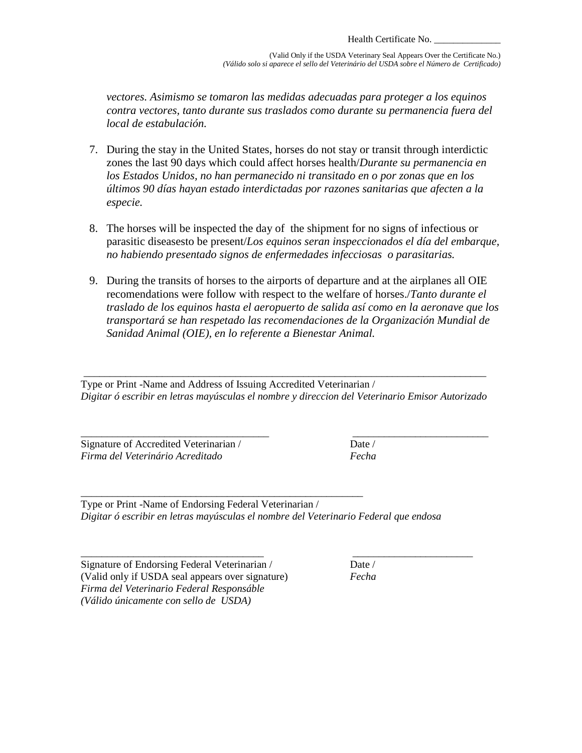(Valid Only if the USDA Veterinary Seal Appears Over the Certificate No.) *(Válido solo si aparece el sello del Veterinário del USDA sobre el Número de Certificado)*

*vectores. Asimismo se tomaron las medidas adecuadas para proteger a los equinos contra vectores, tanto durante sus traslados como durante su permanencia fuera del local de estabulación.*

- 7. During the stay in the United States, horses do not stay or transit through interdictic zones the last 90 days which could affect horses health/*Durante su permanencia en los Estados Unidos, no han permanecido ni transitado en o por zonas que en los últimos 90 días hayan estado interdictadas por razones sanitarias que afecten a la especie.*
- 8. The horses will be inspected the day of the shipment for no signs of infectious or parasitic diseasesto be present/*Los equinos seran inspeccionados el día del embarque, no habiendo presentado signos de enfermedades infecciosas o parasitarias.*
- 9. During the transits of horses to the airports of departure and at the airplanes all OIE recomendations were follow with respect to the welfare of horses./*Tanto durante el traslado de los equinos hasta el aeropuerto de salida así como en la aeronave que los transportará se han respetado las recomendaciones de la Organización Mundial de Sanidad Animal (OIE), en lo referente a Bienestar Animal.*

\_\_\_\_\_\_\_\_\_\_\_\_\_\_\_\_\_\_\_\_\_\_\_\_\_\_\_\_\_\_\_\_\_\_\_\_\_\_\_\_\_\_\_\_\_\_\_\_\_\_\_\_\_\_\_\_\_\_\_\_\_\_\_\_\_\_\_\_\_\_\_\_\_\_\_\_\_ Type or Print -Name and Address of Issuing Accredited Veterinarian / *Digitar ó escribir en letras mayúsculas el nombre y direccion del Veterinario Emisor Autorizado*

\_\_\_\_\_\_\_\_\_\_\_\_\_\_\_\_\_\_\_\_\_\_\_\_\_\_\_\_\_\_\_\_\_\_\_\_ \_\_\_\_\_\_\_\_\_\_\_\_\_\_\_\_\_\_\_\_\_\_\_\_\_\_

Signature of Accredited Veterinarian / Date / *Firma del Veterinário Acreditado Fecha*

\_\_\_\_\_\_\_\_\_\_\_\_\_\_\_\_\_\_\_\_\_\_\_\_\_\_\_\_\_\_\_\_\_\_\_\_\_\_\_\_\_\_\_\_\_\_\_\_\_\_\_\_\_\_ Type or Print -Name of Endorsing Federal Veterinarian / *Digitar ó escribir en letras mayúsculas el nombre del Veterinario Federal que endosa*

\_\_\_\_\_\_\_\_\_\_\_\_\_\_\_\_\_\_\_\_\_\_\_\_\_\_\_\_\_\_\_\_\_\_\_ \_\_\_\_\_\_\_\_\_\_\_\_\_\_\_\_\_\_\_\_\_\_\_ Signature of Endorsing Federal Veterinarian / Date / (Valid only if USDA seal appears over signature) *Fecha Firma del Veterinario Federal Responsáble (Válido únicamente con sello de USDA)*